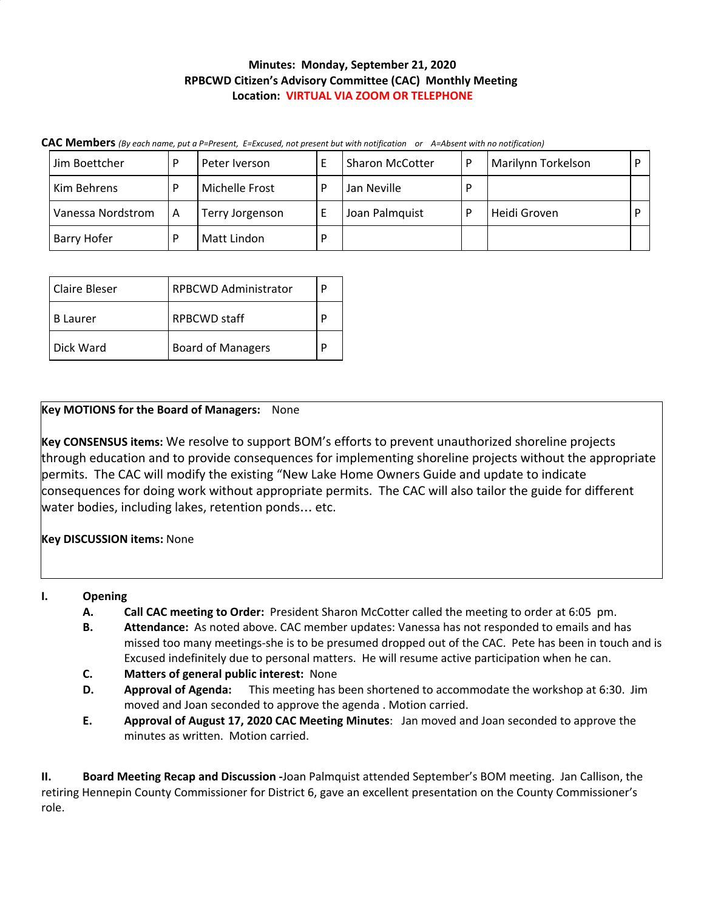# **Minutes: Monday, September 21, 2020 RPBCWD Citizen's Advisory Committee (CAC) Monthly Meeting Location: VIRTUAL VIA ZOOM OR TELEPHONE**

**CAC Members** (By each name, put a P=Present, E=Excused, not present but with notification or A=Absent with no notification)

| Jim Boettcher     |   | Peter Iverson   |   | <b>Sharon McCotter</b> | D | Marilynn Torkelson |  |
|-------------------|---|-----------------|---|------------------------|---|--------------------|--|
| Kim Behrens       |   | Michelle Frost  | D | Jan Neville            | D |                    |  |
| Vanessa Nordstrom | A | Terry Jorgenson |   | Joan Palmquist         |   | Heidi Groven       |  |
| Barry Hofer       |   | Matt Lindon     | D |                        |   |                    |  |

| <b>Claire Bleser</b> | <b>RPBCWD Administrator</b> |   |  |
|----------------------|-----------------------------|---|--|
| <b>B</b> Laurer      | RPBCWD staff                |   |  |
| Dick Ward            | <b>Board of Managers</b>    | D |  |

# **Key MOTIONS for the Board of Managers:** None

**Key CONSENSUS items:** We resolve to support BOM's efforts to prevent unauthorized shoreline projects through education and to provide consequences for implementing shoreline projects without the appropriate permits. The CAC will modify the existing "New Lake Home Owners Guide and update to indicate consequences for doing work without appropriate permits. The CAC will also tailor the guide for different water bodies, including lakes, retention ponds… etc.

**Key DISCUSSION items:** None

- **I. Opening**
	- **A. Call CAC meeting to Order:** President Sharon McCotter called the meeting to order at 6:05 pm.
	- **B. Attendance:** As noted above. CAC member updates: Vanessa has not responded to emails and has missed too many meetings-she is to be presumed dropped out of the CAC. Pete has been in touch and is Excused indefinitely due to personal matters. He will resume active participation when he can.
	- **C. Matters of general public interest:** None
	- **D. Approval of Agenda:** This meeting has been shortened to accommodate the workshop at 6:30. Jim moved and Joan seconded to approve the agenda . Motion carried.
	- **E. Approval of August 17, 2020 CAC Meeting Minutes**: Jan moved and Joan seconded to approve the minutes as written. Motion carried.

**II. Board Meeting Recap and Discussion -**Joan Palmquist attended September's BOM meeting. Jan Callison, the retiring Hennepin County Commissioner for District 6, gave an excellent presentation on the County Commissioner's role.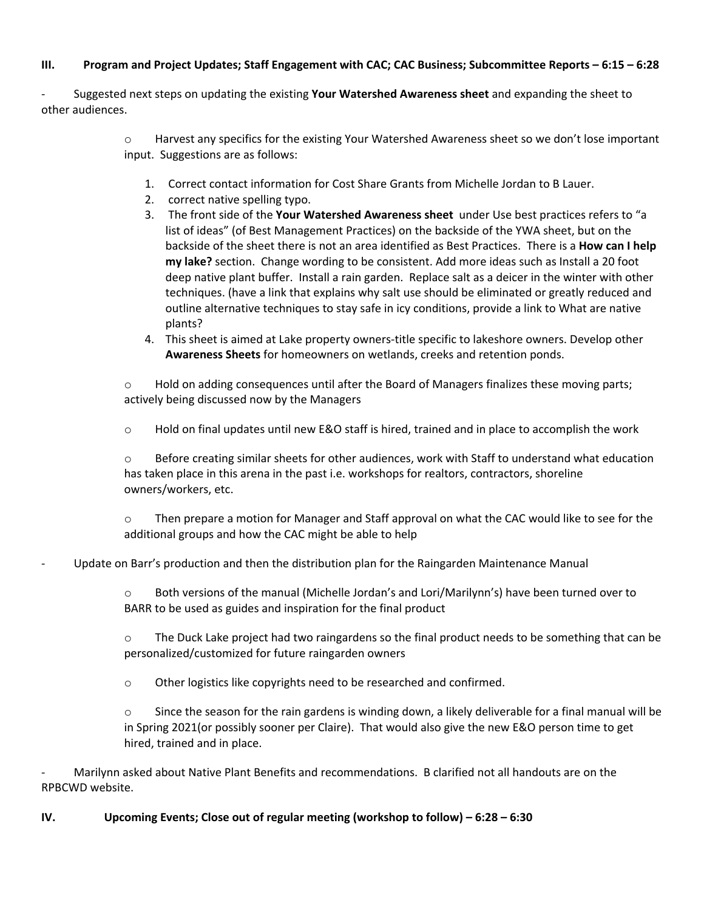## III. Program and Project Updates; Staff Engagement with CAC; CAC Business; Subcommittee Reports – 6:15 – 6:28

- Suggested next steps on updating the existing **Your Watershed Awareness sheet** and expanding the sheet to other audiences.

> o Harvest any specifics for the existing Your Watershed Awareness sheet so we don't lose important input. Suggestions are as follows:

- 1. Correct contact information for Cost Share Grants from Michelle Jordan to B Lauer.
- 2. correct native spelling typo.
- 3. The front side of the **Your Watershed Awareness sheet** under Use best practices refers to "a list of ideas" (of Best Management Practices) on the backside of the YWA sheet, but on the backside of the sheet there is not an area identified as Best Practices. There is a **How can I help my lake?** section. Change wording to be consistent. Add more ideas such as Install a 20 foot deep native plant buffer. Install a rain garden. Replace salt as a deicer in the winter with other techniques. (have a link that explains why salt use should be eliminated or greatly reduced and outline alternative techniques to stay safe in icy conditions, provide a link to What are native plants?

4. This sheet is aimed at Lake property owners-title specific to lakeshore owners. Develop other **Awareness Sheets** for homeowners on wetlands, creeks and retention ponds.

o Hold on adding consequences until after the Board of Managers finalizes these moving parts; actively being discussed now by the Managers

o Hold on final updates until new E&O staff is hired, trained and in place to accomplish the work

 $\circ$  Before creating similar sheets for other audiences, work with Staff to understand what education has taken place in this arena in the past i.e. workshops for realtors, contractors, shoreline owners/workers, etc.

 $\circ$  Then prepare a motion for Manager and Staff approval on what the CAC would like to see for the additional groups and how the CAC might be able to help

### - Update on Barr's production and then the distribution plan for the Raingarden Maintenance Manual

 $\circ$  Both versions of the manual (Michelle Jordan's and Lori/Marilynn's) have been turned over to BARR to be used as guides and inspiration for the final product

o The Duck Lake project had two raingardens so the final product needs to be something that can be personalized/customized for future raingarden owners

o Other logistics like copyrights need to be researched and confirmed.

 $\circ$  Since the season for the rain gardens is winding down, a likely deliverable for a final manual will be in Spring 2021(or possibly sooner per Claire). That would also give the new E&O person time to get hired, trained and in place.

Marilynn asked about Native Plant Benefits and recommendations. B clarified not all handouts are on the RPBCWD website.

**IV. Upcoming Events; Close out of regular meeting (workshop to follow) – 6:28 – 6:30**